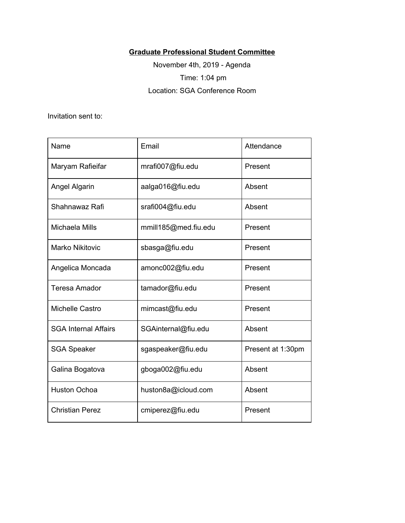## **Graduate Professional Student Committee**

November 4th, 2019 - Agenda Time: 1:04 pm Location: SGA Conference Room

Invitation sent to:

| Name                        | Email                | Attendance        |
|-----------------------------|----------------------|-------------------|
| Maryam Rafieifar            | mrafi007@fiu.edu     | Present           |
| Angel Algarin               | aalga016@fiu.edu     | Absent            |
| Shahnawaz Rafi              | srafi004@fiu.edu     | Absent            |
| Michaela Mills              | mmill185@med.fiu.edu | Present           |
| <b>Marko Nikitovic</b>      | sbasga@fiu.edu       | Present           |
| Angelica Moncada            | amonc002@fiu.edu     | Present           |
| <b>Teresa Amador</b>        | tamador@fiu.edu      | Present           |
| Michelle Castro             | mimcast@fiu.edu      | Present           |
| <b>SGA Internal Affairs</b> | SGAinternal@fiu.edu  | Absent            |
| <b>SGA Speaker</b>          | sgaspeaker@fiu.edu   | Present at 1:30pm |
| Galina Bogatova             | gboga002@fiu.edu     | Absent            |
| <b>Huston Ochoa</b>         | huston8a@icloud.com  | Absent            |
| <b>Christian Perez</b>      | cmiperez@fiu.edu     | Present           |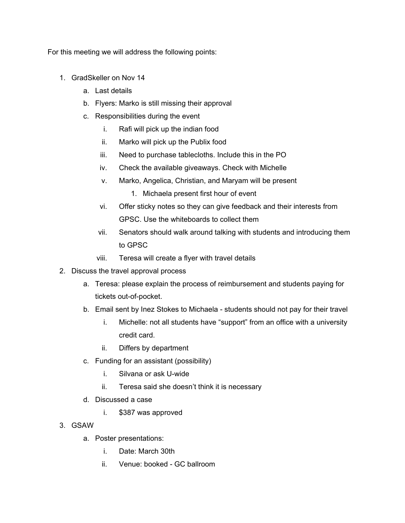For this meeting we will address the following points:

- 1. GradSkeller on Nov 14
	- a. Last details
	- b. Flyers: Marko is still missing their approval
	- c. Responsibilities during the event
		- i. Rafi will pick up the indian food
		- ii. Marko will pick up the Publix food
		- iii. Need to purchase tablecloths. Include this in the PO
		- iv. Check the available giveaways. Check with Michelle
		- v. Marko, Angelica, Christian, and Maryam will be present
			- 1. Michaela present first hour of event
		- vi. Offer sticky notes so they can give feedback and their interests from GPSC. Use the whiteboards to collect them
		- vii. Senators should walk around talking with students and introducing them to GPSC
		- viii. Teresa will create a flyer with travel details
- 2. Discuss the travel approval process
	- a. Teresa: please explain the process of reimbursement and students paying for tickets out-of-pocket.
	- b. Email sent by Inez Stokes to Michaela students should not pay for their travel
		- i. Michelle: not all students have "support" from an office with a university credit card.
		- ii. Differs by department
	- c. Funding for an assistant (possibility)
		- i. Silvana or ask U-wide
		- ii. Teresa said she doesn't think it is necessary
	- d. Discussed a case
		- i. \$387 was approved
- 3. GSAW
	- a. Poster presentations:
		- i. Date: March 30th
		- ii. Venue: booked GC ballroom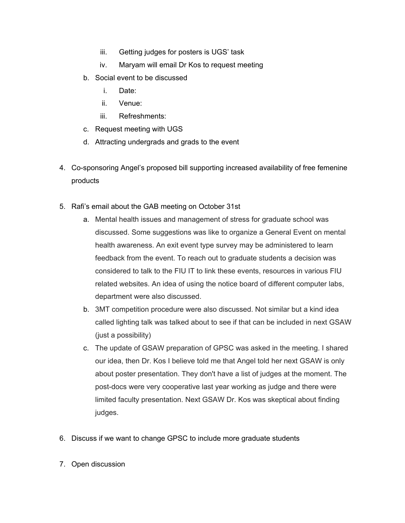- iii. Getting judges for posters is UGS' task
- iv. Maryam will email Dr Kos to request meeting
- b. Social event to be discussed
	- i. Date:
	- ii. Venue:
	- iii. Refreshments:
- c. Request meeting with UGS
- d. Attracting undergrads and grads to the event
- 4. Co-sponsoring Angel's proposed bill supporting increased availability of free femenine products
- 5. Rafi's email about the GAB meeting on October 31st
	- a. Mental health issues and management of stress for graduate school was discussed. Some suggestions was like to organize a General Event on mental health awareness. An exit event type survey may be administered to learn feedback from the event. To reach out to graduate students a decision was considered to talk to the FIU IT to link these events, resources in various FIU related websites. An idea of using the notice board of different computer labs, department were also discussed.
	- b. 3MT competition procedure were also discussed. Not similar but a kind idea called lighting talk was talked about to see if that can be included in next GSAW (just a possibility)
	- c. The update of GSAW preparation of GPSC was asked in the meeting. I shared our idea, then Dr. Kos I believe told me that Angel told her next GSAW is only about poster presentation. They don't have a list of judges at the moment. The post-docs were very cooperative last year working as judge and there were limited faculty presentation. Next GSAW Dr. Kos was skeptical about finding judges.
- 6. Discuss if we want to change GPSC to include more graduate students
- 7. Open discussion